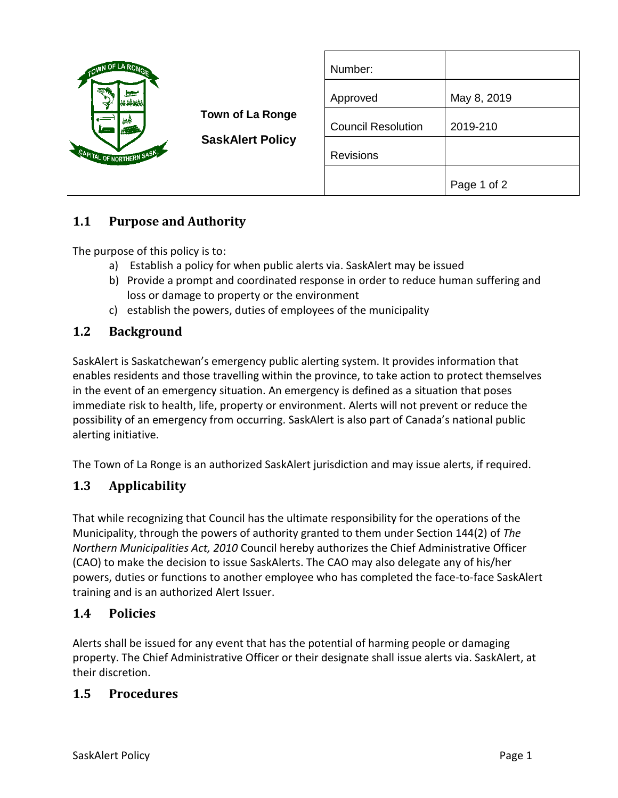| OWN OF LA RONG                                                  | <b>Town of La Ronge</b><br><b>SaskAlert Policy</b> | Number:                   |             |
|-----------------------------------------------------------------|----------------------------------------------------|---------------------------|-------------|
| <b>Service</b><br>च<br>辮<br>g.<br>.<br>CAPITAL OF NORTHERN SASK |                                                    | Approved                  | May 8, 2019 |
|                                                                 |                                                    | <b>Council Resolution</b> | 2019-210    |
|                                                                 |                                                    | <b>Revisions</b>          |             |
|                                                                 |                                                    |                           | Page 1 of 2 |

# **1.1 Purpose and Authority**

The purpose of this policy is to:

- a) Establish a policy for when public alerts via. SaskAlert may be issued
- b) Provide a prompt and coordinated response in order to reduce human suffering and loss or damage to property or the environment
- c) establish the powers, duties of employees of the municipality

### **1.2 Background**

SaskAlert is Saskatchewan's emergency public alerting system. It provides information that enables residents and those travelling within the province, to take action to protect themselves in the event of an emergency situation. An emergency is defined as a situation that poses immediate risk to health, life, property or environment. Alerts will not prevent or reduce the possibility of an emergency from occurring. SaskAlert is also part of Canada's national public alerting initiative.

The Town of La Ronge is an authorized SaskAlert jurisdiction and may issue alerts, if required.

### **1.3 Applicability**

That while recognizing that Council has the ultimate responsibility for the operations of the Municipality, through the powers of authority granted to them under Section 144(2) of *The Northern Municipalities Act, 2010* Council hereby authorizes the Chief Administrative Officer (CAO) to make the decision to issue SaskAlerts. The CAO may also delegate any of his/her powers, duties or functions to another employee who has completed the face-to-face SaskAlert training and is an authorized Alert Issuer.

#### **1.4 Policies**

Alerts shall be issued for any event that has the potential of harming people or damaging property. The Chief Administrative Officer or their designate shall issue alerts via. SaskAlert, at their discretion.

#### **1.5 Procedures**